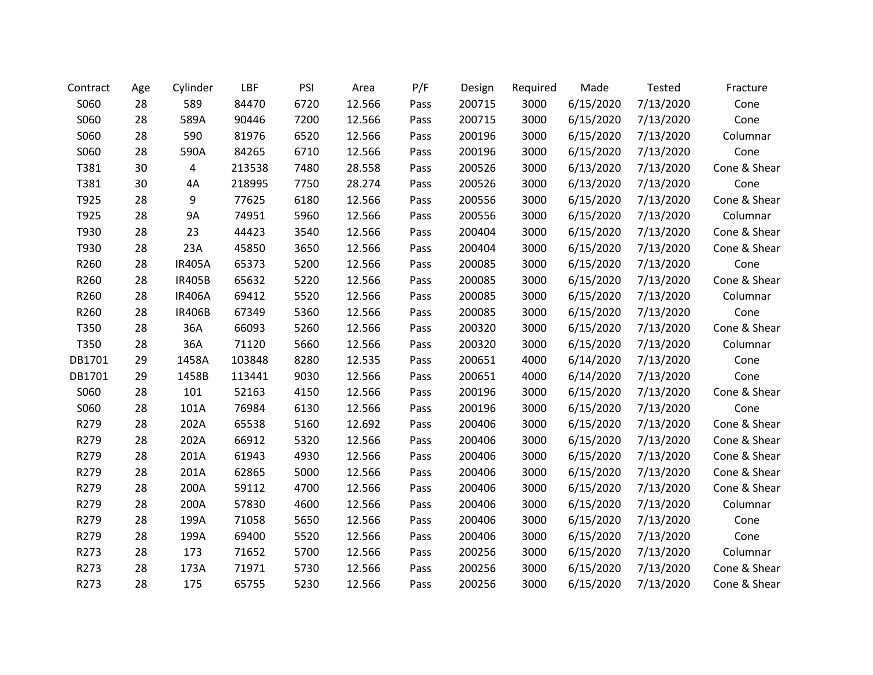| Contract | Age | Cylinder      | LBF    | PSI  | Area   | P/F  | Design | Required | Made      | <b>Tested</b> | Fracture     |
|----------|-----|---------------|--------|------|--------|------|--------|----------|-----------|---------------|--------------|
| S060     | 28  | 589           | 84470  | 6720 | 12.566 | Pass | 200715 | 3000     | 6/15/2020 | 7/13/2020     | Cone         |
| S060     | 28  | 589A          | 90446  | 7200 | 12.566 | Pass | 200715 | 3000     | 6/15/2020 | 7/13/2020     | Cone         |
| S060     | 28  | 590           | 81976  | 6520 | 12.566 | Pass | 200196 | 3000     | 6/15/2020 | 7/13/2020     | Columnar     |
| S060     | 28  | 590A          | 84265  | 6710 | 12.566 | Pass | 200196 | 3000     | 6/15/2020 | 7/13/2020     | Cone         |
| T381     | 30  | 4             | 213538 | 7480 | 28.558 | Pass | 200526 | 3000     | 6/13/2020 | 7/13/2020     | Cone & Shear |
| T381     | 30  | 4A            | 218995 | 7750 | 28.274 | Pass | 200526 | 3000     | 6/13/2020 | 7/13/2020     | Cone         |
| T925     | 28  | 9             | 77625  | 6180 | 12.566 | Pass | 200556 | 3000     | 6/15/2020 | 7/13/2020     | Cone & Shear |
| T925     | 28  | <b>9A</b>     | 74951  | 5960 | 12.566 | Pass | 200556 | 3000     | 6/15/2020 | 7/13/2020     | Columnar     |
| T930     | 28  | 23            | 44423  | 3540 | 12.566 | Pass | 200404 | 3000     | 6/15/2020 | 7/13/2020     | Cone & Shear |
| T930     | 28  | 23A           | 45850  | 3650 | 12.566 | Pass | 200404 | 3000     | 6/15/2020 | 7/13/2020     | Cone & Shear |
| R260     | 28  | <b>IR405A</b> | 65373  | 5200 | 12.566 | Pass | 200085 | 3000     | 6/15/2020 | 7/13/2020     | Cone         |
| R260     | 28  | <b>IR405B</b> | 65632  | 5220 | 12.566 | Pass | 200085 | 3000     | 6/15/2020 | 7/13/2020     | Cone & Shear |
| R260     | 28  | <b>IR406A</b> | 69412  | 5520 | 12.566 | Pass | 200085 | 3000     | 6/15/2020 | 7/13/2020     | Columnar     |
| R260     | 28  | <b>IR406B</b> | 67349  | 5360 | 12.566 | Pass | 200085 | 3000     | 6/15/2020 | 7/13/2020     | Cone         |
| T350     | 28  | 36A           | 66093  | 5260 | 12.566 | Pass | 200320 | 3000     | 6/15/2020 | 7/13/2020     | Cone & Shear |
| T350     | 28  | 36A           | 71120  | 5660 | 12.566 | Pass | 200320 | 3000     | 6/15/2020 | 7/13/2020     | Columnar     |
| DB1701   | 29  | 1458A         | 103848 | 8280 | 12.535 | Pass | 200651 | 4000     | 6/14/2020 | 7/13/2020     | Cone         |
| DB1701   | 29  | 1458B         | 113441 | 9030 | 12.566 | Pass | 200651 | 4000     | 6/14/2020 | 7/13/2020     | Cone         |
| S060     | 28  | 101           | 52163  | 4150 | 12.566 | Pass | 200196 | 3000     | 6/15/2020 | 7/13/2020     | Cone & Shear |
| S060     | 28  | 101A          | 76984  | 6130 | 12.566 | Pass | 200196 | 3000     | 6/15/2020 | 7/13/2020     | Cone         |
| R279     | 28  | 202A          | 65538  | 5160 | 12.692 | Pass | 200406 | 3000     | 6/15/2020 | 7/13/2020     | Cone & Shear |
| R279     | 28  | 202A          | 66912  | 5320 | 12.566 | Pass | 200406 | 3000     | 6/15/2020 | 7/13/2020     | Cone & Shear |
| R279     | 28  | 201A          | 61943  | 4930 | 12.566 | Pass | 200406 | 3000     | 6/15/2020 | 7/13/2020     | Cone & Shear |
| R279     | 28  | 201A          | 62865  | 5000 | 12.566 | Pass | 200406 | 3000     | 6/15/2020 | 7/13/2020     | Cone & Shear |
| R279     | 28  | 200A          | 59112  | 4700 | 12.566 | Pass | 200406 | 3000     | 6/15/2020 | 7/13/2020     | Cone & Shear |
| R279     | 28  | 200A          | 57830  | 4600 | 12.566 | Pass | 200406 | 3000     | 6/15/2020 | 7/13/2020     | Columnar     |
| R279     | 28  | 199A          | 71058  | 5650 | 12.566 | Pass | 200406 | 3000     | 6/15/2020 | 7/13/2020     | Cone         |
| R279     | 28  | 199A          | 69400  | 5520 | 12.566 | Pass | 200406 | 3000     | 6/15/2020 | 7/13/2020     | Cone         |
| R273     | 28  | 173           | 71652  | 5700 | 12.566 | Pass | 200256 | 3000     | 6/15/2020 | 7/13/2020     | Columnar     |
| R273     | 28  | 173A          | 71971  | 5730 | 12.566 | Pass | 200256 | 3000     | 6/15/2020 | 7/13/2020     | Cone & Shear |
| R273     | 28  | 175           | 65755  | 5230 | 12.566 | Pass | 200256 | 3000     | 6/15/2020 | 7/13/2020     | Cone & Shear |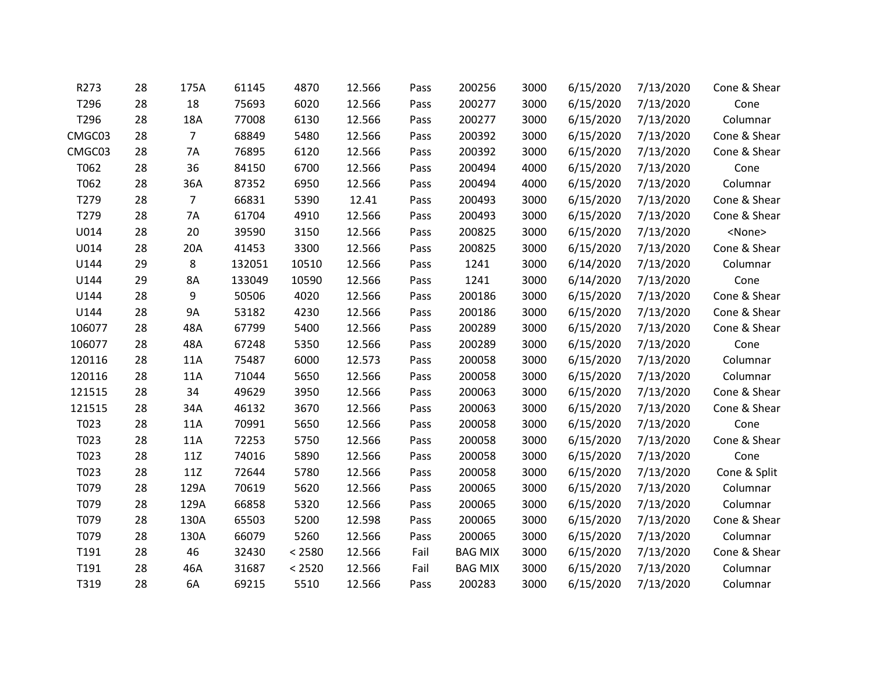| R273   | 28 | 175A           | 61145  | 4870   | 12.566 | Pass | 200256         | 3000 | 6/15/2020 | 7/13/2020 | Cone & Shear  |
|--------|----|----------------|--------|--------|--------|------|----------------|------|-----------|-----------|---------------|
| T296   | 28 | 18             | 75693  | 6020   | 12.566 | Pass | 200277         | 3000 | 6/15/2020 | 7/13/2020 | Cone          |
| T296   | 28 | 18A            | 77008  | 6130   | 12.566 | Pass | 200277         | 3000 | 6/15/2020 | 7/13/2020 | Columnar      |
| CMGC03 | 28 | $\overline{7}$ | 68849  | 5480   | 12.566 | Pass | 200392         | 3000 | 6/15/2020 | 7/13/2020 | Cone & Shear  |
| CMGC03 | 28 | 7A             | 76895  | 6120   | 12.566 | Pass | 200392         | 3000 | 6/15/2020 | 7/13/2020 | Cone & Shear  |
| T062   | 28 | 36             | 84150  | 6700   | 12.566 | Pass | 200494         | 4000 | 6/15/2020 | 7/13/2020 | Cone          |
| T062   | 28 | 36A            | 87352  | 6950   | 12.566 | Pass | 200494         | 4000 | 6/15/2020 | 7/13/2020 | Columnar      |
| T279   | 28 | $\overline{7}$ | 66831  | 5390   | 12.41  | Pass | 200493         | 3000 | 6/15/2020 | 7/13/2020 | Cone & Shear  |
| T279   | 28 | 7A             | 61704  | 4910   | 12.566 | Pass | 200493         | 3000 | 6/15/2020 | 7/13/2020 | Cone & Shear  |
| U014   | 28 | 20             | 39590  | 3150   | 12.566 | Pass | 200825         | 3000 | 6/15/2020 | 7/13/2020 | <none></none> |
| U014   | 28 | 20A            | 41453  | 3300   | 12.566 | Pass | 200825         | 3000 | 6/15/2020 | 7/13/2020 | Cone & Shear  |
| U144   | 29 | 8              | 132051 | 10510  | 12.566 | Pass | 1241           | 3000 | 6/14/2020 | 7/13/2020 | Columnar      |
| U144   | 29 | 8A             | 133049 | 10590  | 12.566 | Pass | 1241           | 3000 | 6/14/2020 | 7/13/2020 | Cone          |
| U144   | 28 | 9              | 50506  | 4020   | 12.566 | Pass | 200186         | 3000 | 6/15/2020 | 7/13/2020 | Cone & Shear  |
| U144   | 28 | <b>9A</b>      | 53182  | 4230   | 12.566 | Pass | 200186         | 3000 | 6/15/2020 | 7/13/2020 | Cone & Shear  |
| 106077 | 28 | 48A            | 67799  | 5400   | 12.566 | Pass | 200289         | 3000 | 6/15/2020 | 7/13/2020 | Cone & Shear  |
| 106077 | 28 | 48A            | 67248  | 5350   | 12.566 | Pass | 200289         | 3000 | 6/15/2020 | 7/13/2020 | Cone          |
| 120116 | 28 | 11A            | 75487  | 6000   | 12.573 | Pass | 200058         | 3000 | 6/15/2020 | 7/13/2020 | Columnar      |
| 120116 | 28 | 11A            | 71044  | 5650   | 12.566 | Pass | 200058         | 3000 | 6/15/2020 | 7/13/2020 | Columnar      |
| 121515 | 28 | 34             | 49629  | 3950   | 12.566 | Pass | 200063         | 3000 | 6/15/2020 | 7/13/2020 | Cone & Shear  |
| 121515 | 28 | 34A            | 46132  | 3670   | 12.566 | Pass | 200063         | 3000 | 6/15/2020 | 7/13/2020 | Cone & Shear  |
| T023   | 28 | 11A            | 70991  | 5650   | 12.566 | Pass | 200058         | 3000 | 6/15/2020 | 7/13/2020 | Cone          |
| T023   | 28 | 11A            | 72253  | 5750   | 12.566 | Pass | 200058         | 3000 | 6/15/2020 | 7/13/2020 | Cone & Shear  |
| T023   | 28 | 11Z            | 74016  | 5890   | 12.566 | Pass | 200058         | 3000 | 6/15/2020 | 7/13/2020 | Cone          |
| T023   | 28 | 11Z            | 72644  | 5780   | 12.566 | Pass | 200058         | 3000 | 6/15/2020 | 7/13/2020 | Cone & Split  |
| T079   | 28 | 129A           | 70619  | 5620   | 12.566 | Pass | 200065         | 3000 | 6/15/2020 | 7/13/2020 | Columnar      |
| T079   | 28 | 129A           | 66858  | 5320   | 12.566 | Pass | 200065         | 3000 | 6/15/2020 | 7/13/2020 | Columnar      |
| T079   | 28 | 130A           | 65503  | 5200   | 12.598 | Pass | 200065         | 3000 | 6/15/2020 | 7/13/2020 | Cone & Shear  |
| T079   | 28 | 130A           | 66079  | 5260   | 12.566 | Pass | 200065         | 3000 | 6/15/2020 | 7/13/2020 | Columnar      |
| T191   | 28 | 46             | 32430  | < 2580 | 12.566 | Fail | <b>BAG MIX</b> | 3000 | 6/15/2020 | 7/13/2020 | Cone & Shear  |
| T191   | 28 | 46A            | 31687  | < 2520 | 12.566 | Fail | <b>BAG MIX</b> | 3000 | 6/15/2020 | 7/13/2020 | Columnar      |
| T319   | 28 | 6A             | 69215  | 5510   | 12.566 | Pass | 200283         | 3000 | 6/15/2020 | 7/13/2020 | Columnar      |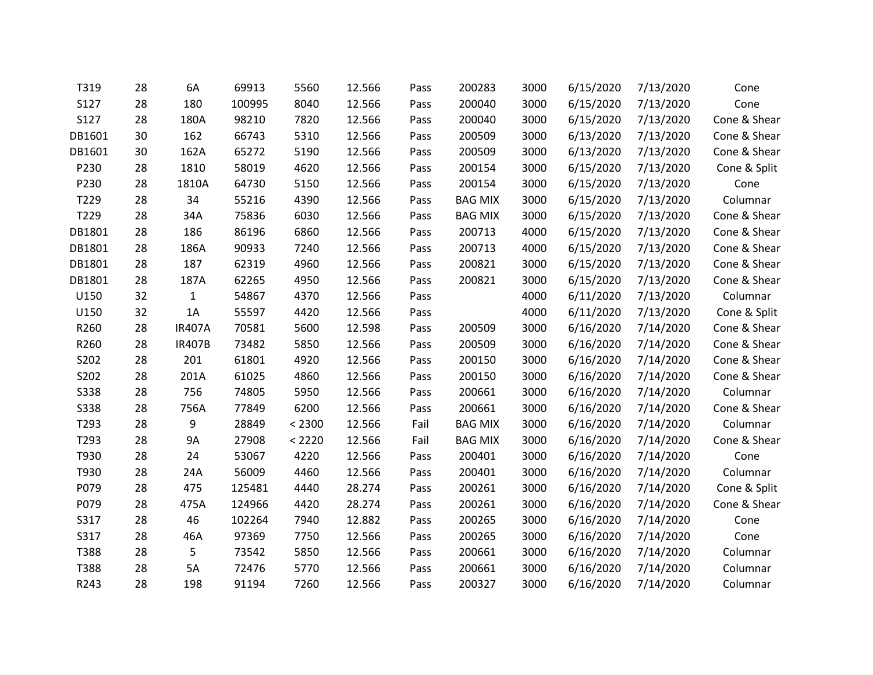| T319        | 28 | 6A            | 69913  | 5560   | 12.566 | Pass | 200283         | 3000 | 6/15/2020 | 7/13/2020 | Cone         |
|-------------|----|---------------|--------|--------|--------|------|----------------|------|-----------|-----------|--------------|
| S127        | 28 | 180           | 100995 | 8040   | 12.566 | Pass | 200040         | 3000 | 6/15/2020 | 7/13/2020 | Cone         |
| S127        | 28 | 180A          | 98210  | 7820   | 12.566 | Pass | 200040         | 3000 | 6/15/2020 | 7/13/2020 | Cone & Shear |
| DB1601      | 30 | 162           | 66743  | 5310   | 12.566 | Pass | 200509         | 3000 | 6/13/2020 | 7/13/2020 | Cone & Shear |
| DB1601      | 30 | 162A          | 65272  | 5190   | 12.566 | Pass | 200509         | 3000 | 6/13/2020 | 7/13/2020 | Cone & Shear |
| P230        | 28 | 1810          | 58019  | 4620   | 12.566 | Pass | 200154         | 3000 | 6/15/2020 | 7/13/2020 | Cone & Split |
| P230        | 28 | 1810A         | 64730  | 5150   | 12.566 | Pass | 200154         | 3000 | 6/15/2020 | 7/13/2020 | Cone         |
| T229        | 28 | 34            | 55216  | 4390   | 12.566 | Pass | <b>BAG MIX</b> | 3000 | 6/15/2020 | 7/13/2020 | Columnar     |
| T229        | 28 | 34A           | 75836  | 6030   | 12.566 | Pass | <b>BAG MIX</b> | 3000 | 6/15/2020 | 7/13/2020 | Cone & Shear |
| DB1801      | 28 | 186           | 86196  | 6860   | 12.566 | Pass | 200713         | 4000 | 6/15/2020 | 7/13/2020 | Cone & Shear |
| DB1801      | 28 | 186A          | 90933  | 7240   | 12.566 | Pass | 200713         | 4000 | 6/15/2020 | 7/13/2020 | Cone & Shear |
| DB1801      | 28 | 187           | 62319  | 4960   | 12.566 | Pass | 200821         | 3000 | 6/15/2020 | 7/13/2020 | Cone & Shear |
| DB1801      | 28 | 187A          | 62265  | 4950   | 12.566 | Pass | 200821         | 3000 | 6/15/2020 | 7/13/2020 | Cone & Shear |
| U150        | 32 | $\mathbf{1}$  | 54867  | 4370   | 12.566 | Pass |                | 4000 | 6/11/2020 | 7/13/2020 | Columnar     |
| U150        | 32 | 1A            | 55597  | 4420   | 12.566 | Pass |                | 4000 | 6/11/2020 | 7/13/2020 | Cone & Split |
| R260        | 28 | <b>IR407A</b> | 70581  | 5600   | 12.598 | Pass | 200509         | 3000 | 6/16/2020 | 7/14/2020 | Cone & Shear |
| R260        | 28 | <b>IR407B</b> | 73482  | 5850   | 12.566 | Pass | 200509         | 3000 | 6/16/2020 | 7/14/2020 | Cone & Shear |
| S202        | 28 | 201           | 61801  | 4920   | 12.566 | Pass | 200150         | 3000 | 6/16/2020 | 7/14/2020 | Cone & Shear |
| S202        | 28 | 201A          | 61025  | 4860   | 12.566 | Pass | 200150         | 3000 | 6/16/2020 | 7/14/2020 | Cone & Shear |
| <b>S338</b> | 28 | 756           | 74805  | 5950   | 12.566 | Pass | 200661         | 3000 | 6/16/2020 | 7/14/2020 | Columnar     |
| <b>S338</b> | 28 | 756A          | 77849  | 6200   | 12.566 | Pass | 200661         | 3000 | 6/16/2020 | 7/14/2020 | Cone & Shear |
| T293        | 28 | 9             | 28849  | < 2300 | 12.566 | Fail | <b>BAG MIX</b> | 3000 | 6/16/2020 | 7/14/2020 | Columnar     |
| T293        | 28 | <b>9A</b>     | 27908  | < 2220 | 12.566 | Fail | <b>BAG MIX</b> | 3000 | 6/16/2020 | 7/14/2020 | Cone & Shear |
| T930        | 28 | 24            | 53067  | 4220   | 12.566 | Pass | 200401         | 3000 | 6/16/2020 | 7/14/2020 | Cone         |
| T930        | 28 | 24A           | 56009  | 4460   | 12.566 | Pass | 200401         | 3000 | 6/16/2020 | 7/14/2020 | Columnar     |
| P079        | 28 | 475           | 125481 | 4440   | 28.274 | Pass | 200261         | 3000 | 6/16/2020 | 7/14/2020 | Cone & Split |
| P079        | 28 | 475A          | 124966 | 4420   | 28.274 | Pass | 200261         | 3000 | 6/16/2020 | 7/14/2020 | Cone & Shear |
| S317        | 28 | 46            | 102264 | 7940   | 12.882 | Pass | 200265         | 3000 | 6/16/2020 | 7/14/2020 | Cone         |
| S317        | 28 | 46A           | 97369  | 7750   | 12.566 | Pass | 200265         | 3000 | 6/16/2020 | 7/14/2020 | Cone         |
| T388        | 28 | 5             | 73542  | 5850   | 12.566 | Pass | 200661         | 3000 | 6/16/2020 | 7/14/2020 | Columnar     |
| T388        | 28 | 5A            | 72476  | 5770   | 12.566 | Pass | 200661         | 3000 | 6/16/2020 | 7/14/2020 | Columnar     |
| R243        | 28 | 198           | 91194  | 7260   | 12.566 | Pass | 200327         | 3000 | 6/16/2020 | 7/14/2020 | Columnar     |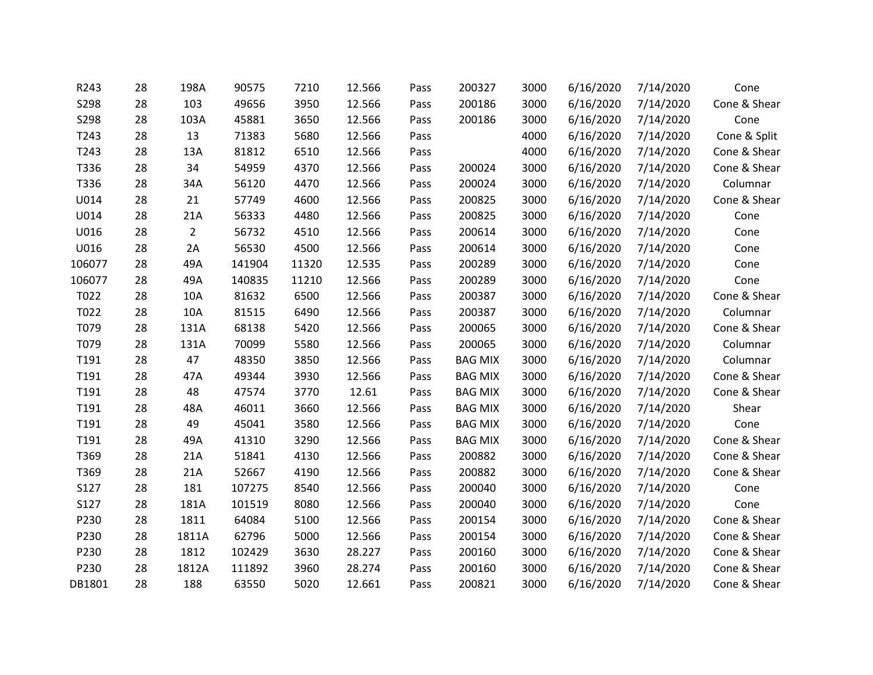| R243   | 28 | 198A           | 90575  | 7210  | 12.566 | Pass | 200327         | 3000 | 6/16/2020 | 7/14/2020 | Cone         |
|--------|----|----------------|--------|-------|--------|------|----------------|------|-----------|-----------|--------------|
| S298   | 28 | 103            | 49656  | 3950  | 12.566 | Pass | 200186         | 3000 | 6/16/2020 | 7/14/2020 | Cone & Shear |
| S298   | 28 | 103A           | 45881  | 3650  | 12.566 | Pass | 200186         | 3000 | 6/16/2020 | 7/14/2020 | Cone         |
| T243   | 28 | 13             | 71383  | 5680  | 12.566 | Pass |                | 4000 | 6/16/2020 | 7/14/2020 | Cone & Split |
| T243   | 28 | 13A            | 81812  | 6510  | 12.566 | Pass |                | 4000 | 6/16/2020 | 7/14/2020 | Cone & Shear |
| T336   | 28 | 34             | 54959  | 4370  | 12.566 | Pass | 200024         | 3000 | 6/16/2020 | 7/14/2020 | Cone & Shear |
| T336   | 28 | 34A            | 56120  | 4470  | 12.566 | Pass | 200024         | 3000 | 6/16/2020 | 7/14/2020 | Columnar     |
| U014   | 28 | 21             | 57749  | 4600  | 12.566 | Pass | 200825         | 3000 | 6/16/2020 | 7/14/2020 | Cone & Shear |
| U014   | 28 | 21A            | 56333  | 4480  | 12.566 | Pass | 200825         | 3000 | 6/16/2020 | 7/14/2020 | Cone         |
| U016   | 28 | $\overline{2}$ | 56732  | 4510  | 12.566 | Pass | 200614         | 3000 | 6/16/2020 | 7/14/2020 | Cone         |
| U016   | 28 | 2A             | 56530  | 4500  | 12.566 | Pass | 200614         | 3000 | 6/16/2020 | 7/14/2020 | Cone         |
| 106077 | 28 | 49A            | 141904 | 11320 | 12.535 | Pass | 200289         | 3000 | 6/16/2020 | 7/14/2020 | Cone         |
| 106077 | 28 | 49A            | 140835 | 11210 | 12.566 | Pass | 200289         | 3000 | 6/16/2020 | 7/14/2020 | Cone         |
| T022   | 28 | 10A            | 81632  | 6500  | 12.566 | Pass | 200387         | 3000 | 6/16/2020 | 7/14/2020 | Cone & Shear |
| T022   | 28 | 10A            | 81515  | 6490  | 12.566 | Pass | 200387         | 3000 | 6/16/2020 | 7/14/2020 | Columnar     |
| T079   | 28 | 131A           | 68138  | 5420  | 12.566 | Pass | 200065         | 3000 | 6/16/2020 | 7/14/2020 | Cone & Shear |
| T079   | 28 | 131A           | 70099  | 5580  | 12.566 | Pass | 200065         | 3000 | 6/16/2020 | 7/14/2020 | Columnar     |
| T191   | 28 | 47             | 48350  | 3850  | 12.566 | Pass | <b>BAG MIX</b> | 3000 | 6/16/2020 | 7/14/2020 | Columnar     |
| T191   | 28 | 47A            | 49344  | 3930  | 12.566 | Pass | <b>BAG MIX</b> | 3000 | 6/16/2020 | 7/14/2020 | Cone & Shear |
| T191   | 28 | 48             | 47574  | 3770  | 12.61  | Pass | <b>BAG MIX</b> | 3000 | 6/16/2020 | 7/14/2020 | Cone & Shear |
| T191   | 28 | 48A            | 46011  | 3660  | 12.566 | Pass | <b>BAG MIX</b> | 3000 | 6/16/2020 | 7/14/2020 | Shear        |
| T191   | 28 | 49             | 45041  | 3580  | 12.566 | Pass | <b>BAG MIX</b> | 3000 | 6/16/2020 | 7/14/2020 | Cone         |
| T191   | 28 | 49A            | 41310  | 3290  | 12.566 | Pass | <b>BAG MIX</b> | 3000 | 6/16/2020 | 7/14/2020 | Cone & Shear |
| T369   | 28 | 21A            | 51841  | 4130  | 12.566 | Pass | 200882         | 3000 | 6/16/2020 | 7/14/2020 | Cone & Shear |
| T369   | 28 | 21A            | 52667  | 4190  | 12.566 | Pass | 200882         | 3000 | 6/16/2020 | 7/14/2020 | Cone & Shear |
| S127   | 28 | 181            | 107275 | 8540  | 12.566 | Pass | 200040         | 3000 | 6/16/2020 | 7/14/2020 | Cone         |
| S127   | 28 | 181A           | 101519 | 8080  | 12.566 | Pass | 200040         | 3000 | 6/16/2020 | 7/14/2020 | Cone         |
| P230   | 28 | 1811           | 64084  | 5100  | 12.566 | Pass | 200154         | 3000 | 6/16/2020 | 7/14/2020 | Cone & Shear |
| P230   | 28 | 1811A          | 62796  | 5000  | 12.566 | Pass | 200154         | 3000 | 6/16/2020 | 7/14/2020 | Cone & Shear |
| P230   | 28 | 1812           | 102429 | 3630  | 28.227 | Pass | 200160         | 3000 | 6/16/2020 | 7/14/2020 | Cone & Shear |
| P230   | 28 | 1812A          | 111892 | 3960  | 28.274 | Pass | 200160         | 3000 | 6/16/2020 | 7/14/2020 | Cone & Shear |
| DB1801 | 28 | 188            | 63550  | 5020  | 12.661 | Pass | 200821         | 3000 | 6/16/2020 | 7/14/2020 | Cone & Shear |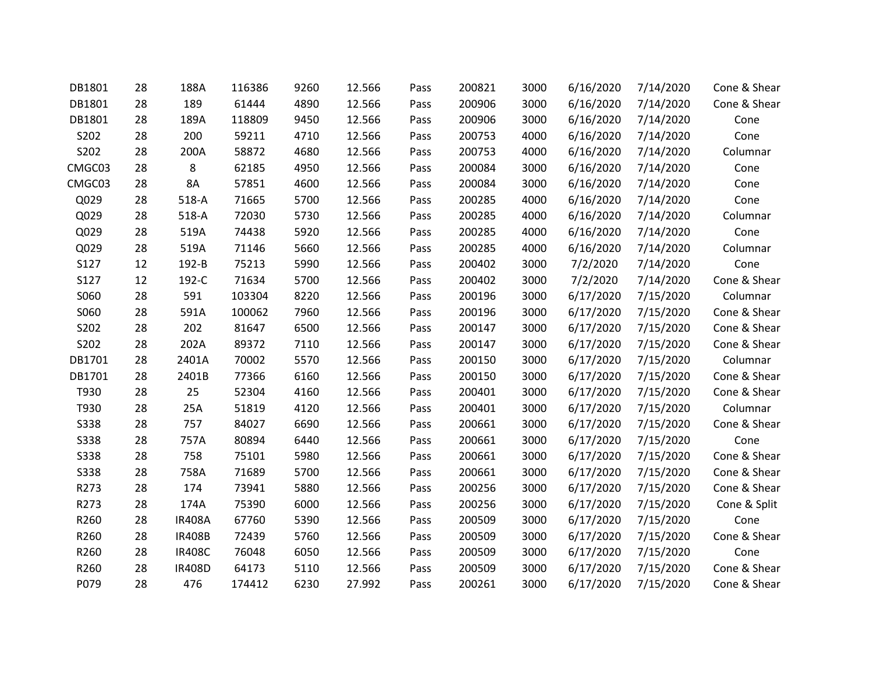| DB1801      | 28 | 188A          | 116386 | 9260 | 12.566 | Pass | 200821 | 3000 | 6/16/2020 | 7/14/2020 | Cone & Shear |
|-------------|----|---------------|--------|------|--------|------|--------|------|-----------|-----------|--------------|
| DB1801      | 28 | 189           | 61444  | 4890 | 12.566 | Pass | 200906 | 3000 | 6/16/2020 | 7/14/2020 | Cone & Shear |
| DB1801      | 28 | 189A          | 118809 | 9450 | 12.566 | Pass | 200906 | 3000 | 6/16/2020 | 7/14/2020 | Cone         |
| S202        | 28 | 200           | 59211  | 4710 | 12.566 | Pass | 200753 | 4000 | 6/16/2020 | 7/14/2020 | Cone         |
| S202        | 28 | 200A          | 58872  | 4680 | 12.566 | Pass | 200753 | 4000 | 6/16/2020 | 7/14/2020 | Columnar     |
| CMGC03      | 28 | 8             | 62185  | 4950 | 12.566 | Pass | 200084 | 3000 | 6/16/2020 | 7/14/2020 | Cone         |
| CMGC03      | 28 | 8A            | 57851  | 4600 | 12.566 | Pass | 200084 | 3000 | 6/16/2020 | 7/14/2020 | Cone         |
| Q029        | 28 | $518-A$       | 71665  | 5700 | 12.566 | Pass | 200285 | 4000 | 6/16/2020 | 7/14/2020 | Cone         |
| Q029        | 28 | $518-A$       | 72030  | 5730 | 12.566 | Pass | 200285 | 4000 | 6/16/2020 | 7/14/2020 | Columnar     |
| Q029        | 28 | 519A          | 74438  | 5920 | 12.566 | Pass | 200285 | 4000 | 6/16/2020 | 7/14/2020 | Cone         |
| Q029        | 28 | 519A          | 71146  | 5660 | 12.566 | Pass | 200285 | 4000 | 6/16/2020 | 7/14/2020 | Columnar     |
| S127        | 12 | 192-B         | 75213  | 5990 | 12.566 | Pass | 200402 | 3000 | 7/2/2020  | 7/14/2020 | Cone         |
| S127        | 12 | 192-C         | 71634  | 5700 | 12.566 | Pass | 200402 | 3000 | 7/2/2020  | 7/14/2020 | Cone & Shear |
| S060        | 28 | 591           | 103304 | 8220 | 12.566 | Pass | 200196 | 3000 | 6/17/2020 | 7/15/2020 | Columnar     |
| S060        | 28 | 591A          | 100062 | 7960 | 12.566 | Pass | 200196 | 3000 | 6/17/2020 | 7/15/2020 | Cone & Shear |
| S202        | 28 | 202           | 81647  | 6500 | 12.566 | Pass | 200147 | 3000 | 6/17/2020 | 7/15/2020 | Cone & Shear |
| S202        | 28 | 202A          | 89372  | 7110 | 12.566 | Pass | 200147 | 3000 | 6/17/2020 | 7/15/2020 | Cone & Shear |
| DB1701      | 28 | 2401A         | 70002  | 5570 | 12.566 | Pass | 200150 | 3000 | 6/17/2020 | 7/15/2020 | Columnar     |
| DB1701      | 28 | 2401B         | 77366  | 6160 | 12.566 | Pass | 200150 | 3000 | 6/17/2020 | 7/15/2020 | Cone & Shear |
| T930        | 28 | 25            | 52304  | 4160 | 12.566 | Pass | 200401 | 3000 | 6/17/2020 | 7/15/2020 | Cone & Shear |
| T930        | 28 | 25A           | 51819  | 4120 | 12.566 | Pass | 200401 | 3000 | 6/17/2020 | 7/15/2020 | Columnar     |
| <b>S338</b> | 28 | 757           | 84027  | 6690 | 12.566 | Pass | 200661 | 3000 | 6/17/2020 | 7/15/2020 | Cone & Shear |
| <b>S338</b> | 28 | 757A          | 80894  | 6440 | 12.566 | Pass | 200661 | 3000 | 6/17/2020 | 7/15/2020 | Cone         |
| <b>S338</b> | 28 | 758           | 75101  | 5980 | 12.566 | Pass | 200661 | 3000 | 6/17/2020 | 7/15/2020 | Cone & Shear |
| <b>S338</b> | 28 | 758A          | 71689  | 5700 | 12.566 | Pass | 200661 | 3000 | 6/17/2020 | 7/15/2020 | Cone & Shear |
| R273        | 28 | 174           | 73941  | 5880 | 12.566 | Pass | 200256 | 3000 | 6/17/2020 | 7/15/2020 | Cone & Shear |
| R273        | 28 | 174A          | 75390  | 6000 | 12.566 | Pass | 200256 | 3000 | 6/17/2020 | 7/15/2020 | Cone & Split |
| R260        | 28 | <b>IR408A</b> | 67760  | 5390 | 12.566 | Pass | 200509 | 3000 | 6/17/2020 | 7/15/2020 | Cone         |
| R260        | 28 | <b>IR408B</b> | 72439  | 5760 | 12.566 | Pass | 200509 | 3000 | 6/17/2020 | 7/15/2020 | Cone & Shear |
| R260        | 28 | <b>IR408C</b> | 76048  | 6050 | 12.566 | Pass | 200509 | 3000 | 6/17/2020 | 7/15/2020 | Cone         |
| R260        | 28 | <b>IR408D</b> | 64173  | 5110 | 12.566 | Pass | 200509 | 3000 | 6/17/2020 | 7/15/2020 | Cone & Shear |
| P079        | 28 | 476           | 174412 | 6230 | 27.992 | Pass | 200261 | 3000 | 6/17/2020 | 7/15/2020 | Cone & Shear |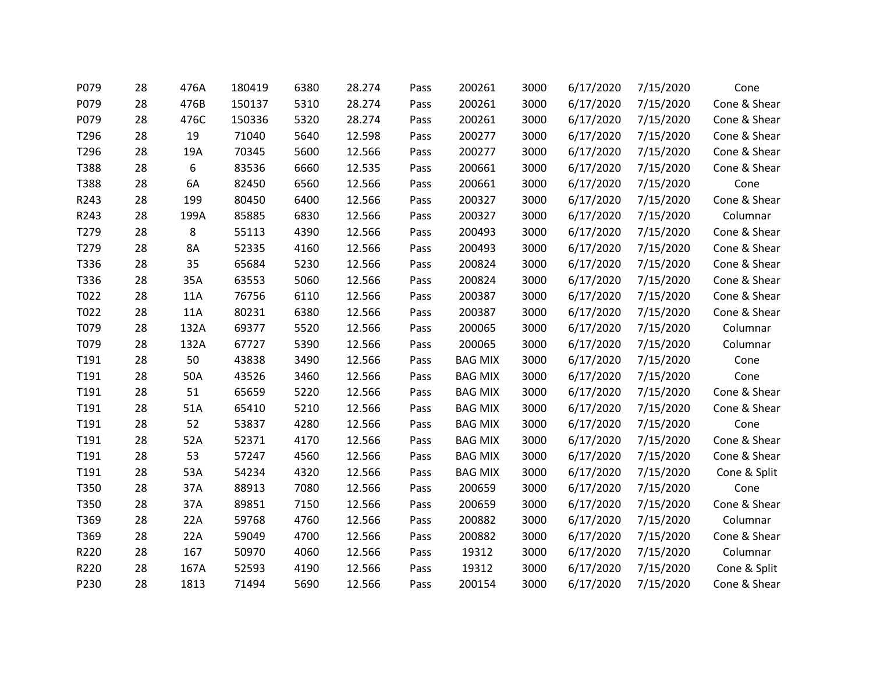| P079 | 28 | 476A | 180419 | 6380 | 28.274 | Pass | 200261         | 3000 | 6/17/2020 | 7/15/2020 | Cone         |
|------|----|------|--------|------|--------|------|----------------|------|-----------|-----------|--------------|
| P079 | 28 | 476B | 150137 | 5310 | 28.274 | Pass | 200261         | 3000 | 6/17/2020 | 7/15/2020 | Cone & Shear |
| P079 | 28 | 476C | 150336 | 5320 | 28.274 | Pass | 200261         | 3000 | 6/17/2020 | 7/15/2020 | Cone & Shear |
| T296 | 28 | 19   | 71040  | 5640 | 12.598 | Pass | 200277         | 3000 | 6/17/2020 | 7/15/2020 | Cone & Shear |
| T296 | 28 | 19A  | 70345  | 5600 | 12.566 | Pass | 200277         | 3000 | 6/17/2020 | 7/15/2020 | Cone & Shear |
| T388 | 28 | 6    | 83536  | 6660 | 12.535 | Pass | 200661         | 3000 | 6/17/2020 | 7/15/2020 | Cone & Shear |
| T388 | 28 | 6A   | 82450  | 6560 | 12.566 | Pass | 200661         | 3000 | 6/17/2020 | 7/15/2020 | Cone         |
| R243 | 28 | 199  | 80450  | 6400 | 12.566 | Pass | 200327         | 3000 | 6/17/2020 | 7/15/2020 | Cone & Shear |
| R243 | 28 | 199A | 85885  | 6830 | 12.566 | Pass | 200327         | 3000 | 6/17/2020 | 7/15/2020 | Columnar     |
| T279 | 28 | 8    | 55113  | 4390 | 12.566 | Pass | 200493         | 3000 | 6/17/2020 | 7/15/2020 | Cone & Shear |
| T279 | 28 | 8A   | 52335  | 4160 | 12.566 | Pass | 200493         | 3000 | 6/17/2020 | 7/15/2020 | Cone & Shear |
| T336 | 28 | 35   | 65684  | 5230 | 12.566 | Pass | 200824         | 3000 | 6/17/2020 | 7/15/2020 | Cone & Shear |
| T336 | 28 | 35A  | 63553  | 5060 | 12.566 | Pass | 200824         | 3000 | 6/17/2020 | 7/15/2020 | Cone & Shear |
| T022 | 28 | 11A  | 76756  | 6110 | 12.566 | Pass | 200387         | 3000 | 6/17/2020 | 7/15/2020 | Cone & Shear |
| T022 | 28 | 11A  | 80231  | 6380 | 12.566 | Pass | 200387         | 3000 | 6/17/2020 | 7/15/2020 | Cone & Shear |
| T079 | 28 | 132A | 69377  | 5520 | 12.566 | Pass | 200065         | 3000 | 6/17/2020 | 7/15/2020 | Columnar     |
| T079 | 28 | 132A | 67727  | 5390 | 12.566 | Pass | 200065         | 3000 | 6/17/2020 | 7/15/2020 | Columnar     |
| T191 | 28 | 50   | 43838  | 3490 | 12.566 | Pass | <b>BAG MIX</b> | 3000 | 6/17/2020 | 7/15/2020 | Cone         |
| T191 | 28 | 50A  | 43526  | 3460 | 12.566 | Pass | <b>BAG MIX</b> | 3000 | 6/17/2020 | 7/15/2020 | Cone         |
| T191 | 28 | 51   | 65659  | 5220 | 12.566 | Pass | <b>BAG MIX</b> | 3000 | 6/17/2020 | 7/15/2020 | Cone & Shear |
| T191 | 28 | 51A  | 65410  | 5210 | 12.566 | Pass | <b>BAG MIX</b> | 3000 | 6/17/2020 | 7/15/2020 | Cone & Shear |
| T191 | 28 | 52   | 53837  | 4280 | 12.566 | Pass | <b>BAG MIX</b> | 3000 | 6/17/2020 | 7/15/2020 | Cone         |
| T191 | 28 | 52A  | 52371  | 4170 | 12.566 | Pass | <b>BAG MIX</b> | 3000 | 6/17/2020 | 7/15/2020 | Cone & Shear |
| T191 | 28 | 53   | 57247  | 4560 | 12.566 | Pass | <b>BAG MIX</b> | 3000 | 6/17/2020 | 7/15/2020 | Cone & Shear |
| T191 | 28 | 53A  | 54234  | 4320 | 12.566 | Pass | <b>BAG MIX</b> | 3000 | 6/17/2020 | 7/15/2020 | Cone & Split |
| T350 | 28 | 37A  | 88913  | 7080 | 12.566 | Pass | 200659         | 3000 | 6/17/2020 | 7/15/2020 | Cone         |
| T350 | 28 | 37A  | 89851  | 7150 | 12.566 | Pass | 200659         | 3000 | 6/17/2020 | 7/15/2020 | Cone & Shear |
| T369 | 28 | 22A  | 59768  | 4760 | 12.566 | Pass | 200882         | 3000 | 6/17/2020 | 7/15/2020 | Columnar     |
| T369 | 28 | 22A  | 59049  | 4700 | 12.566 | Pass | 200882         | 3000 | 6/17/2020 | 7/15/2020 | Cone & Shear |
| R220 | 28 | 167  | 50970  | 4060 | 12.566 | Pass | 19312          | 3000 | 6/17/2020 | 7/15/2020 | Columnar     |
| R220 | 28 | 167A | 52593  | 4190 | 12.566 | Pass | 19312          | 3000 | 6/17/2020 | 7/15/2020 | Cone & Split |
| P230 | 28 | 1813 | 71494  | 5690 | 12.566 | Pass | 200154         | 3000 | 6/17/2020 | 7/15/2020 | Cone & Shear |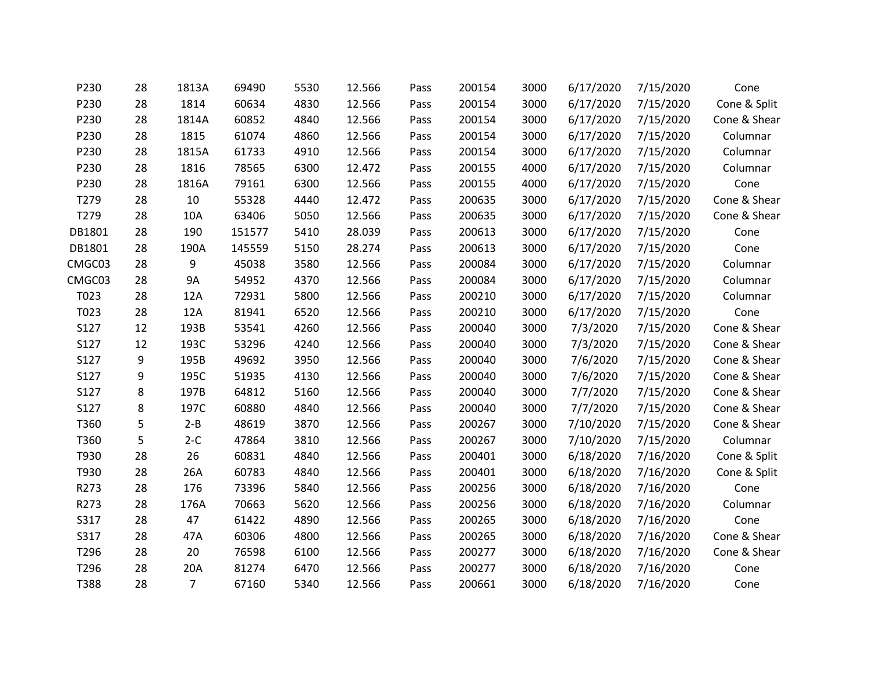| P230   | 28 | 1813A          | 69490  | 5530 | 12.566 | Pass | 200154 | 3000 | 6/17/2020 | 7/15/2020 | Cone         |
|--------|----|----------------|--------|------|--------|------|--------|------|-----------|-----------|--------------|
| P230   | 28 | 1814           | 60634  | 4830 | 12.566 | Pass | 200154 | 3000 | 6/17/2020 | 7/15/2020 | Cone & Split |
| P230   | 28 | 1814A          | 60852  | 4840 | 12.566 | Pass | 200154 | 3000 | 6/17/2020 | 7/15/2020 | Cone & Shear |
| P230   | 28 | 1815           | 61074  | 4860 | 12.566 | Pass | 200154 | 3000 | 6/17/2020 | 7/15/2020 | Columnar     |
| P230   | 28 | 1815A          | 61733  | 4910 | 12.566 | Pass | 200154 | 3000 | 6/17/2020 | 7/15/2020 | Columnar     |
| P230   | 28 | 1816           | 78565  | 6300 | 12.472 | Pass | 200155 | 4000 | 6/17/2020 | 7/15/2020 | Columnar     |
| P230   | 28 | 1816A          | 79161  | 6300 | 12.566 | Pass | 200155 | 4000 | 6/17/2020 | 7/15/2020 | Cone         |
| T279   | 28 | 10             | 55328  | 4440 | 12.472 | Pass | 200635 | 3000 | 6/17/2020 | 7/15/2020 | Cone & Shear |
| T279   | 28 | 10A            | 63406  | 5050 | 12.566 | Pass | 200635 | 3000 | 6/17/2020 | 7/15/2020 | Cone & Shear |
| DB1801 | 28 | 190            | 151577 | 5410 | 28.039 | Pass | 200613 | 3000 | 6/17/2020 | 7/15/2020 | Cone         |
| DB1801 | 28 | 190A           | 145559 | 5150 | 28.274 | Pass | 200613 | 3000 | 6/17/2020 | 7/15/2020 | Cone         |
| CMGC03 | 28 | 9              | 45038  | 3580 | 12.566 | Pass | 200084 | 3000 | 6/17/2020 | 7/15/2020 | Columnar     |
| CMGC03 | 28 | <b>9A</b>      | 54952  | 4370 | 12.566 | Pass | 200084 | 3000 | 6/17/2020 | 7/15/2020 | Columnar     |
| T023   | 28 | 12A            | 72931  | 5800 | 12.566 | Pass | 200210 | 3000 | 6/17/2020 | 7/15/2020 | Columnar     |
| T023   | 28 | 12A            | 81941  | 6520 | 12.566 | Pass | 200210 | 3000 | 6/17/2020 | 7/15/2020 | Cone         |
| S127   | 12 | 193B           | 53541  | 4260 | 12.566 | Pass | 200040 | 3000 | 7/3/2020  | 7/15/2020 | Cone & Shear |
| S127   | 12 | 193C           | 53296  | 4240 | 12.566 | Pass | 200040 | 3000 | 7/3/2020  | 7/15/2020 | Cone & Shear |
| S127   | 9  | 195B           | 49692  | 3950 | 12.566 | Pass | 200040 | 3000 | 7/6/2020  | 7/15/2020 | Cone & Shear |
| S127   | 9  | 195C           | 51935  | 4130 | 12.566 | Pass | 200040 | 3000 | 7/6/2020  | 7/15/2020 | Cone & Shear |
| S127   | 8  | 197B           | 64812  | 5160 | 12.566 | Pass | 200040 | 3000 | 7/7/2020  | 7/15/2020 | Cone & Shear |
| S127   | 8  | 197C           | 60880  | 4840 | 12.566 | Pass | 200040 | 3000 | 7/7/2020  | 7/15/2020 | Cone & Shear |
| T360   | 5  | $2 - B$        | 48619  | 3870 | 12.566 | Pass | 200267 | 3000 | 7/10/2020 | 7/15/2020 | Cone & Shear |
| T360   | 5  | $2-C$          | 47864  | 3810 | 12.566 | Pass | 200267 | 3000 | 7/10/2020 | 7/15/2020 | Columnar     |
| T930   | 28 | 26             | 60831  | 4840 | 12.566 | Pass | 200401 | 3000 | 6/18/2020 | 7/16/2020 | Cone & Split |
| T930   | 28 | 26A            | 60783  | 4840 | 12.566 | Pass | 200401 | 3000 | 6/18/2020 | 7/16/2020 | Cone & Split |
| R273   | 28 | 176            | 73396  | 5840 | 12.566 | Pass | 200256 | 3000 | 6/18/2020 | 7/16/2020 | Cone         |
| R273   | 28 | 176A           | 70663  | 5620 | 12.566 | Pass | 200256 | 3000 | 6/18/2020 | 7/16/2020 | Columnar     |
| S317   | 28 | 47             | 61422  | 4890 | 12.566 | Pass | 200265 | 3000 | 6/18/2020 | 7/16/2020 | Cone         |
| S317   | 28 | 47A            | 60306  | 4800 | 12.566 | Pass | 200265 | 3000 | 6/18/2020 | 7/16/2020 | Cone & Shear |
| T296   | 28 | 20             | 76598  | 6100 | 12.566 | Pass | 200277 | 3000 | 6/18/2020 | 7/16/2020 | Cone & Shear |
| T296   | 28 | 20A            | 81274  | 6470 | 12.566 | Pass | 200277 | 3000 | 6/18/2020 | 7/16/2020 | Cone         |
| T388   | 28 | $\overline{7}$ | 67160  | 5340 | 12.566 | Pass | 200661 | 3000 | 6/18/2020 | 7/16/2020 | Cone         |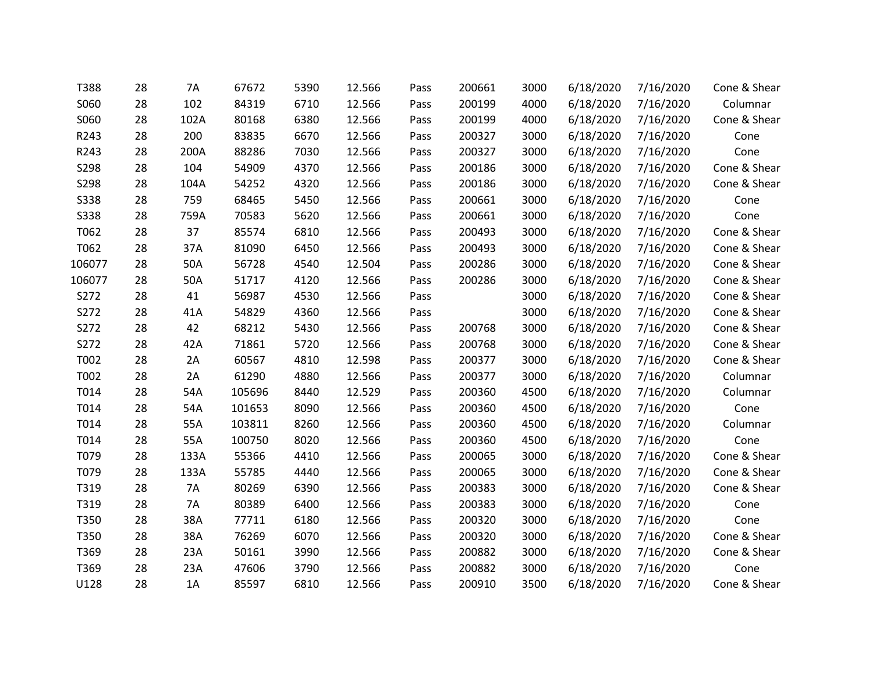| T388        | 28 | 7A   | 67672  | 5390 | 12.566 | Pass | 200661 | 3000 | 6/18/2020 | 7/16/2020 | Cone & Shear |
|-------------|----|------|--------|------|--------|------|--------|------|-----------|-----------|--------------|
| S060        | 28 | 102  | 84319  | 6710 | 12.566 | Pass | 200199 | 4000 | 6/18/2020 | 7/16/2020 | Columnar     |
| S060        | 28 | 102A | 80168  | 6380 | 12.566 | Pass | 200199 | 4000 | 6/18/2020 | 7/16/2020 | Cone & Shear |
| R243        | 28 | 200  | 83835  | 6670 | 12.566 | Pass | 200327 | 3000 | 6/18/2020 | 7/16/2020 | Cone         |
| R243        | 28 | 200A | 88286  | 7030 | 12.566 | Pass | 200327 | 3000 | 6/18/2020 | 7/16/2020 | Cone         |
| S298        | 28 | 104  | 54909  | 4370 | 12.566 | Pass | 200186 | 3000 | 6/18/2020 | 7/16/2020 | Cone & Shear |
| S298        | 28 | 104A | 54252  | 4320 | 12.566 | Pass | 200186 | 3000 | 6/18/2020 | 7/16/2020 | Cone & Shear |
| <b>S338</b> | 28 | 759  | 68465  | 5450 | 12.566 | Pass | 200661 | 3000 | 6/18/2020 | 7/16/2020 | Cone         |
| <b>S338</b> | 28 | 759A | 70583  | 5620 | 12.566 | Pass | 200661 | 3000 | 6/18/2020 | 7/16/2020 | Cone         |
| T062        | 28 | 37   | 85574  | 6810 | 12.566 | Pass | 200493 | 3000 | 6/18/2020 | 7/16/2020 | Cone & Shear |
| T062        | 28 | 37A  | 81090  | 6450 | 12.566 | Pass | 200493 | 3000 | 6/18/2020 | 7/16/2020 | Cone & Shear |
| 106077      | 28 | 50A  | 56728  | 4540 | 12.504 | Pass | 200286 | 3000 | 6/18/2020 | 7/16/2020 | Cone & Shear |
| 106077      | 28 | 50A  | 51717  | 4120 | 12.566 | Pass | 200286 | 3000 | 6/18/2020 | 7/16/2020 | Cone & Shear |
| S272        | 28 | 41   | 56987  | 4530 | 12.566 | Pass |        | 3000 | 6/18/2020 | 7/16/2020 | Cone & Shear |
| S272        | 28 | 41A  | 54829  | 4360 | 12.566 | Pass |        | 3000 | 6/18/2020 | 7/16/2020 | Cone & Shear |
| S272        | 28 | 42   | 68212  | 5430 | 12.566 | Pass | 200768 | 3000 | 6/18/2020 | 7/16/2020 | Cone & Shear |
| S272        | 28 | 42A  | 71861  | 5720 | 12.566 | Pass | 200768 | 3000 | 6/18/2020 | 7/16/2020 | Cone & Shear |
| T002        | 28 | 2A   | 60567  | 4810 | 12.598 | Pass | 200377 | 3000 | 6/18/2020 | 7/16/2020 | Cone & Shear |
| T002        | 28 | 2A   | 61290  | 4880 | 12.566 | Pass | 200377 | 3000 | 6/18/2020 | 7/16/2020 | Columnar     |
| T014        | 28 | 54A  | 105696 | 8440 | 12.529 | Pass | 200360 | 4500 | 6/18/2020 | 7/16/2020 | Columnar     |
| T014        | 28 | 54A  | 101653 | 8090 | 12.566 | Pass | 200360 | 4500 | 6/18/2020 | 7/16/2020 | Cone         |
| T014        | 28 | 55A  | 103811 | 8260 | 12.566 | Pass | 200360 | 4500 | 6/18/2020 | 7/16/2020 | Columnar     |
| T014        | 28 | 55A  | 100750 | 8020 | 12.566 | Pass | 200360 | 4500 | 6/18/2020 | 7/16/2020 | Cone         |
| T079        | 28 | 133A | 55366  | 4410 | 12.566 | Pass | 200065 | 3000 | 6/18/2020 | 7/16/2020 | Cone & Shear |
| T079        | 28 | 133A | 55785  | 4440 | 12.566 | Pass | 200065 | 3000 | 6/18/2020 | 7/16/2020 | Cone & Shear |
| T319        | 28 | 7A   | 80269  | 6390 | 12.566 | Pass | 200383 | 3000 | 6/18/2020 | 7/16/2020 | Cone & Shear |
| T319        | 28 | 7A   | 80389  | 6400 | 12.566 | Pass | 200383 | 3000 | 6/18/2020 | 7/16/2020 | Cone         |
| T350        | 28 | 38A  | 77711  | 6180 | 12.566 | Pass | 200320 | 3000 | 6/18/2020 | 7/16/2020 | Cone         |
| T350        | 28 | 38A  | 76269  | 6070 | 12.566 | Pass | 200320 | 3000 | 6/18/2020 | 7/16/2020 | Cone & Shear |
| T369        | 28 | 23A  | 50161  | 3990 | 12.566 | Pass | 200882 | 3000 | 6/18/2020 | 7/16/2020 | Cone & Shear |
| T369        | 28 | 23A  | 47606  | 3790 | 12.566 | Pass | 200882 | 3000 | 6/18/2020 | 7/16/2020 | Cone         |
| U128        | 28 | 1A   | 85597  | 6810 | 12.566 | Pass | 200910 | 3500 | 6/18/2020 | 7/16/2020 | Cone & Shear |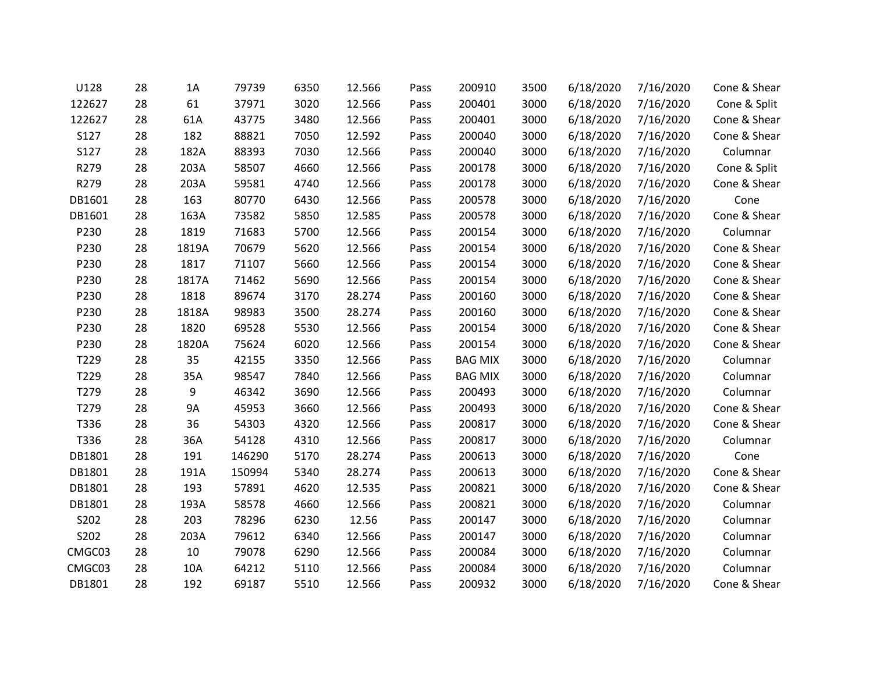| U128   | 28 | 1A        | 79739  | 6350 | 12.566 | Pass | 200910         | 3500 | 6/18/2020 | 7/16/2020 | Cone & Shear |
|--------|----|-----------|--------|------|--------|------|----------------|------|-----------|-----------|--------------|
| 122627 | 28 | 61        | 37971  | 3020 | 12.566 | Pass | 200401         | 3000 | 6/18/2020 | 7/16/2020 | Cone & Split |
| 122627 | 28 | 61A       | 43775  | 3480 | 12.566 | Pass | 200401         | 3000 | 6/18/2020 | 7/16/2020 | Cone & Shear |
| S127   | 28 | 182       | 88821  | 7050 | 12.592 | Pass | 200040         | 3000 | 6/18/2020 | 7/16/2020 | Cone & Shear |
| S127   | 28 | 182A      | 88393  | 7030 | 12.566 | Pass | 200040         | 3000 | 6/18/2020 | 7/16/2020 | Columnar     |
| R279   | 28 | 203A      | 58507  | 4660 | 12.566 | Pass | 200178         | 3000 | 6/18/2020 | 7/16/2020 | Cone & Split |
| R279   | 28 | 203A      | 59581  | 4740 | 12.566 | Pass | 200178         | 3000 | 6/18/2020 | 7/16/2020 | Cone & Shear |
| DB1601 | 28 | 163       | 80770  | 6430 | 12.566 | Pass | 200578         | 3000 | 6/18/2020 | 7/16/2020 | Cone         |
| DB1601 | 28 | 163A      | 73582  | 5850 | 12.585 | Pass | 200578         | 3000 | 6/18/2020 | 7/16/2020 | Cone & Shear |
| P230   | 28 | 1819      | 71683  | 5700 | 12.566 | Pass | 200154         | 3000 | 6/18/2020 | 7/16/2020 | Columnar     |
| P230   | 28 | 1819A     | 70679  | 5620 | 12.566 | Pass | 200154         | 3000 | 6/18/2020 | 7/16/2020 | Cone & Shear |
| P230   | 28 | 1817      | 71107  | 5660 | 12.566 | Pass | 200154         | 3000 | 6/18/2020 | 7/16/2020 | Cone & Shear |
| P230   | 28 | 1817A     | 71462  | 5690 | 12.566 | Pass | 200154         | 3000 | 6/18/2020 | 7/16/2020 | Cone & Shear |
| P230   | 28 | 1818      | 89674  | 3170 | 28.274 | Pass | 200160         | 3000 | 6/18/2020 | 7/16/2020 | Cone & Shear |
| P230   | 28 | 1818A     | 98983  | 3500 | 28.274 | Pass | 200160         | 3000 | 6/18/2020 | 7/16/2020 | Cone & Shear |
| P230   | 28 | 1820      | 69528  | 5530 | 12.566 | Pass | 200154         | 3000 | 6/18/2020 | 7/16/2020 | Cone & Shear |
| P230   | 28 | 1820A     | 75624  | 6020 | 12.566 | Pass | 200154         | 3000 | 6/18/2020 | 7/16/2020 | Cone & Shear |
| T229   | 28 | 35        | 42155  | 3350 | 12.566 | Pass | <b>BAG MIX</b> | 3000 | 6/18/2020 | 7/16/2020 | Columnar     |
| T229   | 28 | 35A       | 98547  | 7840 | 12.566 | Pass | <b>BAG MIX</b> | 3000 | 6/18/2020 | 7/16/2020 | Columnar     |
| T279   | 28 | 9         | 46342  | 3690 | 12.566 | Pass | 200493         | 3000 | 6/18/2020 | 7/16/2020 | Columnar     |
| T279   | 28 | <b>9A</b> | 45953  | 3660 | 12.566 | Pass | 200493         | 3000 | 6/18/2020 | 7/16/2020 | Cone & Shear |
| T336   | 28 | 36        | 54303  | 4320 | 12.566 | Pass | 200817         | 3000 | 6/18/2020 | 7/16/2020 | Cone & Shear |
| T336   | 28 | 36A       | 54128  | 4310 | 12.566 | Pass | 200817         | 3000 | 6/18/2020 | 7/16/2020 | Columnar     |
| DB1801 | 28 | 191       | 146290 | 5170 | 28.274 | Pass | 200613         | 3000 | 6/18/2020 | 7/16/2020 | Cone         |
| DB1801 | 28 | 191A      | 150994 | 5340 | 28.274 | Pass | 200613         | 3000 | 6/18/2020 | 7/16/2020 | Cone & Shear |
| DB1801 | 28 | 193       | 57891  | 4620 | 12.535 | Pass | 200821         | 3000 | 6/18/2020 | 7/16/2020 | Cone & Shear |
| DB1801 | 28 | 193A      | 58578  | 4660 | 12.566 | Pass | 200821         | 3000 | 6/18/2020 | 7/16/2020 | Columnar     |
| S202   | 28 | 203       | 78296  | 6230 | 12.56  | Pass | 200147         | 3000 | 6/18/2020 | 7/16/2020 | Columnar     |
| S202   | 28 | 203A      | 79612  | 6340 | 12.566 | Pass | 200147         | 3000 | 6/18/2020 | 7/16/2020 | Columnar     |
| CMGC03 | 28 | 10        | 79078  | 6290 | 12.566 | Pass | 200084         | 3000 | 6/18/2020 | 7/16/2020 | Columnar     |
| CMGC03 | 28 | 10A       | 64212  | 5110 | 12.566 | Pass | 200084         | 3000 | 6/18/2020 | 7/16/2020 | Columnar     |
| DB1801 | 28 | 192       | 69187  | 5510 | 12.566 | Pass | 200932         | 3000 | 6/18/2020 | 7/16/2020 | Cone & Shear |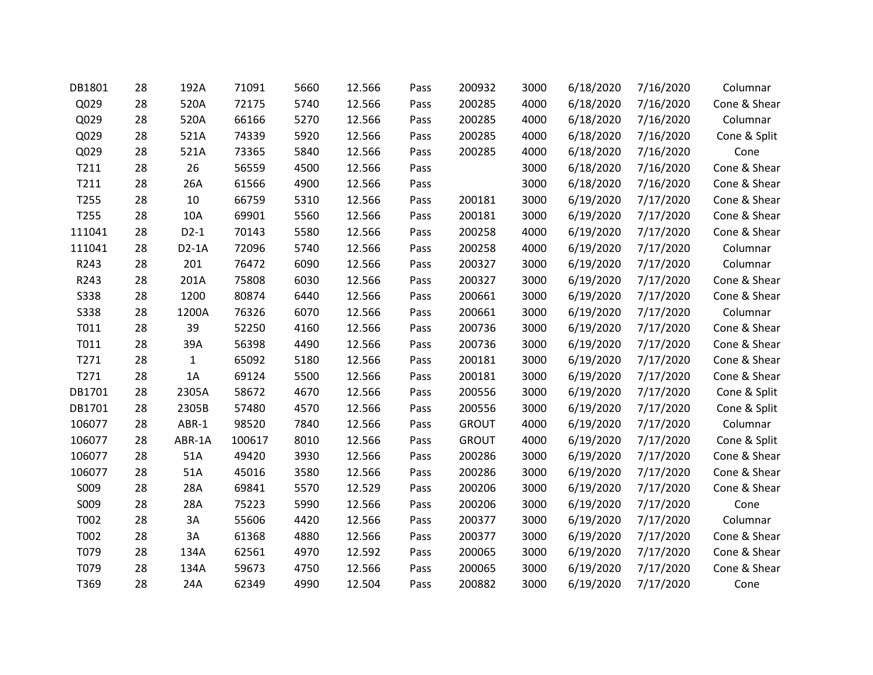| DB1801      | 28 | 192A         | 71091  | 5660 | 12.566 | Pass | 200932       | 3000 | 6/18/2020 | 7/16/2020 | Columnar     |
|-------------|----|--------------|--------|------|--------|------|--------------|------|-----------|-----------|--------------|
| Q029        | 28 | 520A         | 72175  | 5740 | 12.566 | Pass | 200285       | 4000 | 6/18/2020 | 7/16/2020 | Cone & Shear |
| Q029        | 28 | 520A         | 66166  | 5270 | 12.566 | Pass | 200285       | 4000 | 6/18/2020 | 7/16/2020 | Columnar     |
| Q029        | 28 | 521A         | 74339  | 5920 | 12.566 | Pass | 200285       | 4000 | 6/18/2020 | 7/16/2020 | Cone & Split |
| Q029        | 28 | 521A         | 73365  | 5840 | 12.566 | Pass | 200285       | 4000 | 6/18/2020 | 7/16/2020 | Cone         |
| T211        | 28 | 26           | 56559  | 4500 | 12.566 | Pass |              | 3000 | 6/18/2020 | 7/16/2020 | Cone & Shear |
| T211        | 28 | 26A          | 61566  | 4900 | 12.566 | Pass |              | 3000 | 6/18/2020 | 7/16/2020 | Cone & Shear |
| T255        | 28 | 10           | 66759  | 5310 | 12.566 | Pass | 200181       | 3000 | 6/19/2020 | 7/17/2020 | Cone & Shear |
| T255        | 28 | 10A          | 69901  | 5560 | 12.566 | Pass | 200181       | 3000 | 6/19/2020 | 7/17/2020 | Cone & Shear |
| 111041      | 28 | $D2-1$       | 70143  | 5580 | 12.566 | Pass | 200258       | 4000 | 6/19/2020 | 7/17/2020 | Cone & Shear |
| 111041      | 28 | $D2-1A$      | 72096  | 5740 | 12.566 | Pass | 200258       | 4000 | 6/19/2020 | 7/17/2020 | Columnar     |
| R243        | 28 | 201          | 76472  | 6090 | 12.566 | Pass | 200327       | 3000 | 6/19/2020 | 7/17/2020 | Columnar     |
| R243        | 28 | 201A         | 75808  | 6030 | 12.566 | Pass | 200327       | 3000 | 6/19/2020 | 7/17/2020 | Cone & Shear |
| <b>S338</b> | 28 | 1200         | 80874  | 6440 | 12.566 | Pass | 200661       | 3000 | 6/19/2020 | 7/17/2020 | Cone & Shear |
| <b>S338</b> | 28 | 1200A        | 76326  | 6070 | 12.566 | Pass | 200661       | 3000 | 6/19/2020 | 7/17/2020 | Columnar     |
| T011        | 28 | 39           | 52250  | 4160 | 12.566 | Pass | 200736       | 3000 | 6/19/2020 | 7/17/2020 | Cone & Shear |
| T011        | 28 | 39A          | 56398  | 4490 | 12.566 | Pass | 200736       | 3000 | 6/19/2020 | 7/17/2020 | Cone & Shear |
| T271        | 28 | $\mathbf{1}$ | 65092  | 5180 | 12.566 | Pass | 200181       | 3000 | 6/19/2020 | 7/17/2020 | Cone & Shear |
| T271        | 28 | 1A           | 69124  | 5500 | 12.566 | Pass | 200181       | 3000 | 6/19/2020 | 7/17/2020 | Cone & Shear |
| DB1701      | 28 | 2305A        | 58672  | 4670 | 12.566 | Pass | 200556       | 3000 | 6/19/2020 | 7/17/2020 | Cone & Split |
| DB1701      | 28 | 2305B        | 57480  | 4570 | 12.566 | Pass | 200556       | 3000 | 6/19/2020 | 7/17/2020 | Cone & Split |
| 106077      | 28 | ABR-1        | 98520  | 7840 | 12.566 | Pass | <b>GROUT</b> | 4000 | 6/19/2020 | 7/17/2020 | Columnar     |
| 106077      | 28 | ABR-1A       | 100617 | 8010 | 12.566 | Pass | <b>GROUT</b> | 4000 | 6/19/2020 | 7/17/2020 | Cone & Split |
| 106077      | 28 | 51A          | 49420  | 3930 | 12.566 | Pass | 200286       | 3000 | 6/19/2020 | 7/17/2020 | Cone & Shear |
| 106077      | 28 | 51A          | 45016  | 3580 | 12.566 | Pass | 200286       | 3000 | 6/19/2020 | 7/17/2020 | Cone & Shear |
| S009        | 28 | 28A          | 69841  | 5570 | 12.529 | Pass | 200206       | 3000 | 6/19/2020 | 7/17/2020 | Cone & Shear |
| S009        | 28 | 28A          | 75223  | 5990 | 12.566 | Pass | 200206       | 3000 | 6/19/2020 | 7/17/2020 | Cone         |
| T002        | 28 | 3A           | 55606  | 4420 | 12.566 | Pass | 200377       | 3000 | 6/19/2020 | 7/17/2020 | Columnar     |
| T002        | 28 | 3A           | 61368  | 4880 | 12.566 | Pass | 200377       | 3000 | 6/19/2020 | 7/17/2020 | Cone & Shear |
| T079        | 28 | 134A         | 62561  | 4970 | 12.592 | Pass | 200065       | 3000 | 6/19/2020 | 7/17/2020 | Cone & Shear |
| T079        | 28 | 134A         | 59673  | 4750 | 12.566 | Pass | 200065       | 3000 | 6/19/2020 | 7/17/2020 | Cone & Shear |
| T369        | 28 | 24A          | 62349  | 4990 | 12.504 | Pass | 200882       | 3000 | 6/19/2020 | 7/17/2020 | Cone         |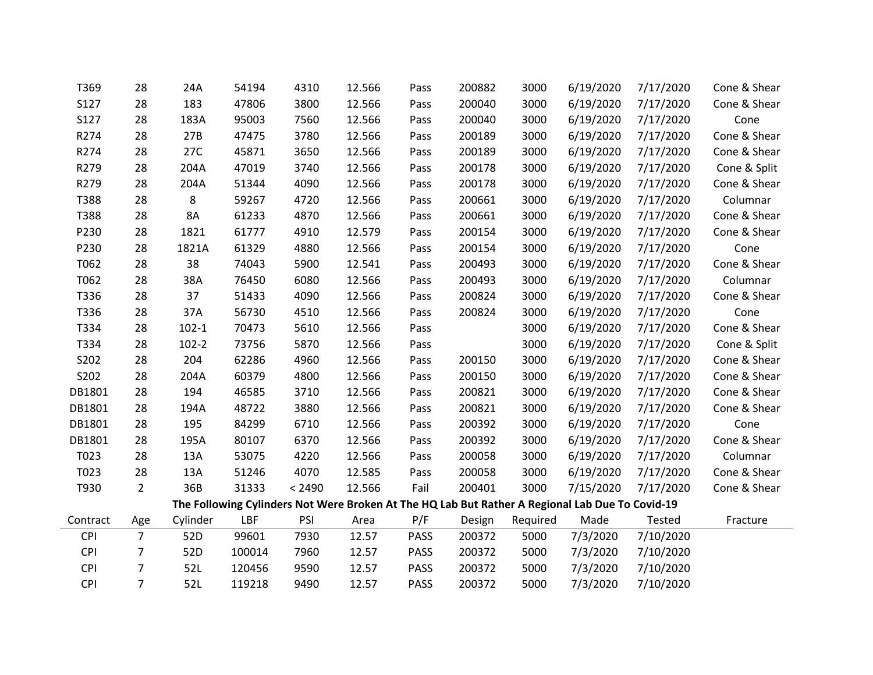| T369       | 28             | 24A       | 54194  | 4310   | 12.566 | Pass        | 200882 | 3000     | 6/19/2020                                                                                       | 7/17/2020 | Cone & Shear |
|------------|----------------|-----------|--------|--------|--------|-------------|--------|----------|-------------------------------------------------------------------------------------------------|-----------|--------------|
| S127       | 28             | 183       | 47806  | 3800   | 12.566 | Pass        | 200040 | 3000     | 6/19/2020                                                                                       | 7/17/2020 | Cone & Shear |
| S127       | 28             | 183A      | 95003  | 7560   | 12.566 | Pass        | 200040 | 3000     | 6/19/2020                                                                                       | 7/17/2020 | Cone         |
| R274       | 28             | 27B       | 47475  | 3780   | 12.566 | Pass        | 200189 | 3000     | 6/19/2020                                                                                       | 7/17/2020 | Cone & Shear |
| R274       | 28             | 27C       | 45871  | 3650   | 12.566 | Pass        | 200189 | 3000     | 6/19/2020                                                                                       | 7/17/2020 | Cone & Shear |
| R279       | 28             | 204A      | 47019  | 3740   | 12.566 | Pass        | 200178 | 3000     | 6/19/2020                                                                                       | 7/17/2020 | Cone & Split |
| R279       | 28             | 204A      | 51344  | 4090   | 12.566 | Pass        | 200178 | 3000     | 6/19/2020                                                                                       | 7/17/2020 | Cone & Shear |
| T388       | 28             | 8         | 59267  | 4720   | 12.566 | Pass        | 200661 | 3000     | 6/19/2020                                                                                       | 7/17/2020 | Columnar     |
| T388       | 28             | 8A        | 61233  | 4870   | 12.566 | Pass        | 200661 | 3000     | 6/19/2020                                                                                       | 7/17/2020 | Cone & Shear |
| P230       | 28             | 1821      | 61777  | 4910   | 12.579 | Pass        | 200154 | 3000     | 6/19/2020                                                                                       | 7/17/2020 | Cone & Shear |
| P230       | 28             | 1821A     | 61329  | 4880   | 12.566 | Pass        | 200154 | 3000     | 6/19/2020                                                                                       | 7/17/2020 | Cone         |
| T062       | 28             | 38        | 74043  | 5900   | 12.541 | Pass        | 200493 | 3000     | 6/19/2020                                                                                       | 7/17/2020 | Cone & Shear |
| T062       | 28             | 38A       | 76450  | 6080   | 12.566 | Pass        | 200493 | 3000     | 6/19/2020                                                                                       | 7/17/2020 | Columnar     |
| T336       | 28             | 37        | 51433  | 4090   | 12.566 | Pass        | 200824 | 3000     | 6/19/2020                                                                                       | 7/17/2020 | Cone & Shear |
| T336       | 28             | 37A       | 56730  | 4510   | 12.566 | Pass        | 200824 | 3000     | 6/19/2020                                                                                       | 7/17/2020 | Cone         |
| T334       | 28             | $102 - 1$ | 70473  | 5610   | 12.566 | Pass        |        | 3000     | 6/19/2020                                                                                       | 7/17/2020 | Cone & Shear |
| T334       | 28             | $102 - 2$ | 73756  | 5870   | 12.566 | Pass        |        | 3000     | 6/19/2020                                                                                       | 7/17/2020 | Cone & Split |
| S202       | 28             | 204       | 62286  | 4960   | 12.566 | Pass        | 200150 | 3000     | 6/19/2020                                                                                       | 7/17/2020 | Cone & Shear |
| S202       | 28             | 204A      | 60379  | 4800   | 12.566 | Pass        | 200150 | 3000     | 6/19/2020                                                                                       | 7/17/2020 | Cone & Shear |
| DB1801     | 28             | 194       | 46585  | 3710   | 12.566 | Pass        | 200821 | 3000     | 6/19/2020                                                                                       | 7/17/2020 | Cone & Shear |
| DB1801     | 28             | 194A      | 48722  | 3880   | 12.566 | Pass        | 200821 | 3000     | 6/19/2020                                                                                       | 7/17/2020 | Cone & Shear |
| DB1801     | 28             | 195       | 84299  | 6710   | 12.566 | Pass        | 200392 | 3000     | 6/19/2020                                                                                       | 7/17/2020 | Cone         |
| DB1801     | 28             | 195A      | 80107  | 6370   | 12.566 | Pass        | 200392 | 3000     | 6/19/2020                                                                                       | 7/17/2020 | Cone & Shear |
| T023       | 28             | 13A       | 53075  | 4220   | 12.566 | Pass        | 200058 | 3000     | 6/19/2020                                                                                       | 7/17/2020 | Columnar     |
| T023       | 28             | 13A       | 51246  | 4070   | 12.585 | Pass        | 200058 | 3000     | 6/19/2020                                                                                       | 7/17/2020 | Cone & Shear |
| T930       | $\overline{2}$ | 36B       | 31333  | < 2490 | 12.566 | Fail        | 200401 | 3000     | 7/15/2020                                                                                       | 7/17/2020 | Cone & Shear |
|            |                |           |        |        |        |             |        |          | The Following Cylinders Not Were Broken At The HQ Lab But Rather A Regional Lab Due To Covid-19 |           |              |
| Contract   | Age            | Cylinder  | LBF    | PSI    | Area   | P/F         | Design | Required | Made                                                                                            | Tested    | Fracture     |
| <b>CPI</b> | $\overline{7}$ | 52D       | 99601  | 7930   | 12.57  | <b>PASS</b> | 200372 | 5000     | 7/3/2020                                                                                        | 7/10/2020 |              |
| <b>CPI</b> | $\overline{7}$ | 52D       | 100014 | 7960   | 12.57  | <b>PASS</b> | 200372 | 5000     | 7/3/2020                                                                                        | 7/10/2020 |              |
| CPI        | $\overline{7}$ | 52L       | 120456 | 9590   | 12.57  | PASS        | 200372 | 5000     | 7/3/2020                                                                                        | 7/10/2020 |              |
| <b>CPI</b> | $\overline{7}$ | 52L       | 119218 | 9490   | 12.57  | <b>PASS</b> | 200372 | 5000     | 7/3/2020                                                                                        | 7/10/2020 |              |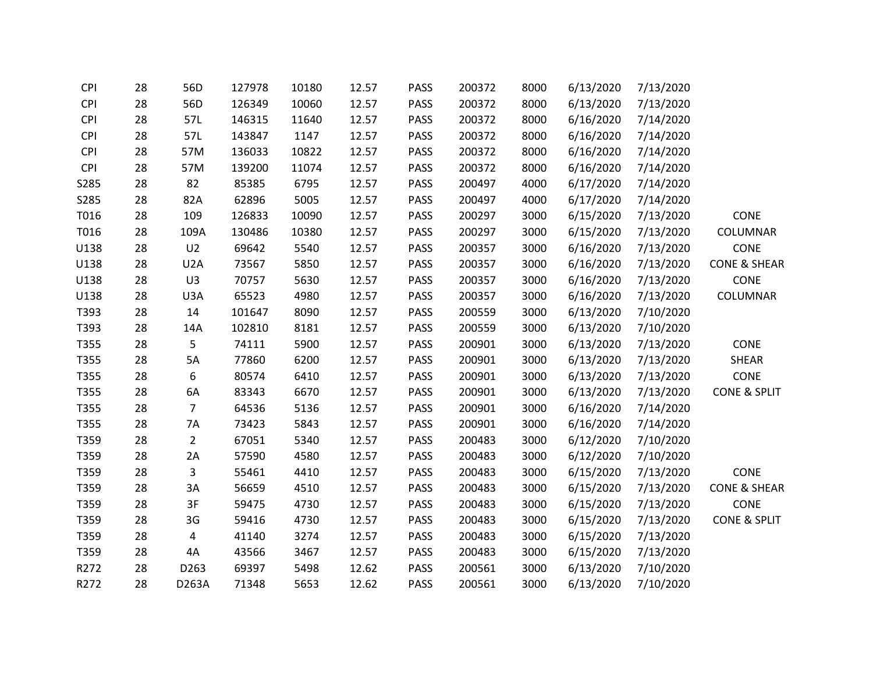| CPI        | 28 | 56D              | 127978 | 10180 | 12.57 | <b>PASS</b> | 200372 | 8000 | 6/13/2020 | 7/13/2020 |                         |
|------------|----|------------------|--------|-------|-------|-------------|--------|------|-----------|-----------|-------------------------|
| <b>CPI</b> | 28 | 56D              | 126349 | 10060 | 12.57 | PASS        | 200372 | 8000 | 6/13/2020 | 7/13/2020 |                         |
| <b>CPI</b> | 28 | 57L              | 146315 | 11640 | 12.57 | PASS        | 200372 | 8000 | 6/16/2020 | 7/14/2020 |                         |
| <b>CPI</b> | 28 | 57L              | 143847 | 1147  | 12.57 | PASS        | 200372 | 8000 | 6/16/2020 | 7/14/2020 |                         |
| <b>CPI</b> | 28 | 57M              | 136033 | 10822 | 12.57 | PASS        | 200372 | 8000 | 6/16/2020 | 7/14/2020 |                         |
| <b>CPI</b> | 28 | 57M              | 139200 | 11074 | 12.57 | <b>PASS</b> | 200372 | 8000 | 6/16/2020 | 7/14/2020 |                         |
| S285       | 28 | 82               | 85385  | 6795  | 12.57 | PASS        | 200497 | 4000 | 6/17/2020 | 7/14/2020 |                         |
| S285       | 28 | 82A              | 62896  | 5005  | 12.57 | PASS        | 200497 | 4000 | 6/17/2020 | 7/14/2020 |                         |
| T016       | 28 | 109              | 126833 | 10090 | 12.57 | PASS        | 200297 | 3000 | 6/15/2020 | 7/13/2020 | CONE                    |
| T016       | 28 | 109A             | 130486 | 10380 | 12.57 | PASS        | 200297 | 3000 | 6/15/2020 | 7/13/2020 | COLUMNAR                |
| U138       | 28 | U <sub>2</sub>   | 69642  | 5540  | 12.57 | PASS        | 200357 | 3000 | 6/16/2020 | 7/13/2020 | CONE                    |
| U138       | 28 | U <sub>2</sub> A | 73567  | 5850  | 12.57 | PASS        | 200357 | 3000 | 6/16/2020 | 7/13/2020 | <b>CONE &amp; SHEAR</b> |
| U138       | 28 | U3               | 70757  | 5630  | 12.57 | <b>PASS</b> | 200357 | 3000 | 6/16/2020 | 7/13/2020 | CONE                    |
| U138       | 28 | U3A              | 65523  | 4980  | 12.57 | PASS        | 200357 | 3000 | 6/16/2020 | 7/13/2020 | COLUMNAR                |
| T393       | 28 | 14               | 101647 | 8090  | 12.57 | PASS        | 200559 | 3000 | 6/13/2020 | 7/10/2020 |                         |
| T393       | 28 | 14A              | 102810 | 8181  | 12.57 | PASS        | 200559 | 3000 | 6/13/2020 | 7/10/2020 |                         |
| T355       | 28 | 5                | 74111  | 5900  | 12.57 | PASS        | 200901 | 3000 | 6/13/2020 | 7/13/2020 | CONE                    |
| T355       | 28 | 5A               | 77860  | 6200  | 12.57 | PASS        | 200901 | 3000 | 6/13/2020 | 7/13/2020 | SHEAR                   |
| T355       | 28 | 6                | 80574  | 6410  | 12.57 | <b>PASS</b> | 200901 | 3000 | 6/13/2020 | 7/13/2020 | CONE                    |
| T355       | 28 | 6A               | 83343  | 6670  | 12.57 | <b>PASS</b> | 200901 | 3000 | 6/13/2020 | 7/13/2020 | <b>CONE &amp; SPLIT</b> |
| T355       | 28 | $\overline{7}$   | 64536  | 5136  | 12.57 | PASS        | 200901 | 3000 | 6/16/2020 | 7/14/2020 |                         |
| T355       | 28 | 7A               | 73423  | 5843  | 12.57 | PASS        | 200901 | 3000 | 6/16/2020 | 7/14/2020 |                         |
| T359       | 28 | $\overline{2}$   | 67051  | 5340  | 12.57 | PASS        | 200483 | 3000 | 6/12/2020 | 7/10/2020 |                         |
| T359       | 28 | 2A               | 57590  | 4580  | 12.57 | PASS        | 200483 | 3000 | 6/12/2020 | 7/10/2020 |                         |
| T359       | 28 | 3                | 55461  | 4410  | 12.57 | <b>PASS</b> | 200483 | 3000 | 6/15/2020 | 7/13/2020 | CONE                    |
| T359       | 28 | 3A               | 56659  | 4510  | 12.57 | <b>PASS</b> | 200483 | 3000 | 6/15/2020 | 7/13/2020 | <b>CONE &amp; SHEAR</b> |
| T359       | 28 | 3F               | 59475  | 4730  | 12.57 | PASS        | 200483 | 3000 | 6/15/2020 | 7/13/2020 | CONE                    |
| T359       | 28 | 3G               | 59416  | 4730  | 12.57 | PASS        | 200483 | 3000 | 6/15/2020 | 7/13/2020 | <b>CONE &amp; SPLIT</b> |
| T359       | 28 | 4                | 41140  | 3274  | 12.57 | <b>PASS</b> | 200483 | 3000 | 6/15/2020 | 7/13/2020 |                         |
| T359       | 28 | 4A               | 43566  | 3467  | 12.57 | PASS        | 200483 | 3000 | 6/15/2020 | 7/13/2020 |                         |
| R272       | 28 | D263             | 69397  | 5498  | 12.62 | PASS        | 200561 | 3000 | 6/13/2020 | 7/10/2020 |                         |
| R272       | 28 | D263A            | 71348  | 5653  | 12.62 | <b>PASS</b> | 200561 | 3000 | 6/13/2020 | 7/10/2020 |                         |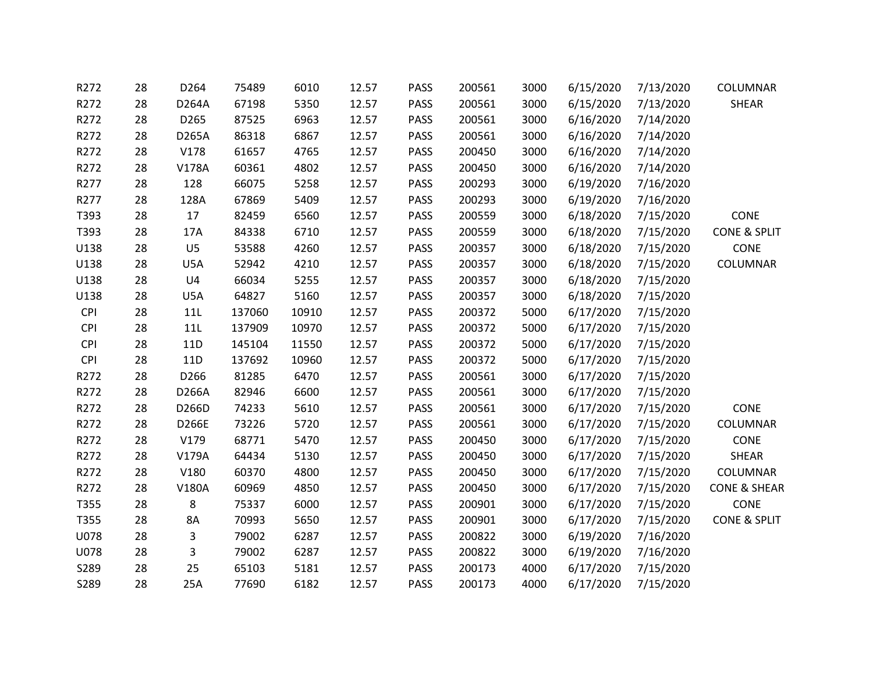| R272       | 28 | D264           | 75489  | 6010  | 12.57 | <b>PASS</b> | 200561 | 3000 | 6/15/2020 | 7/13/2020 | COLUMNAR                |
|------------|----|----------------|--------|-------|-------|-------------|--------|------|-----------|-----------|-------------------------|
| R272       | 28 | D264A          | 67198  | 5350  | 12.57 | <b>PASS</b> | 200561 | 3000 | 6/15/2020 | 7/13/2020 | SHEAR                   |
| R272       | 28 | D265           | 87525  | 6963  | 12.57 | <b>PASS</b> | 200561 | 3000 | 6/16/2020 | 7/14/2020 |                         |
| R272       | 28 | D265A          | 86318  | 6867  | 12.57 | <b>PASS</b> | 200561 | 3000 | 6/16/2020 | 7/14/2020 |                         |
| R272       | 28 | V178           | 61657  | 4765  | 12.57 | <b>PASS</b> | 200450 | 3000 | 6/16/2020 | 7/14/2020 |                         |
| R272       | 28 | V178A          | 60361  | 4802  | 12.57 | <b>PASS</b> | 200450 | 3000 | 6/16/2020 | 7/14/2020 |                         |
| R277       | 28 | 128            | 66075  | 5258  | 12.57 | <b>PASS</b> | 200293 | 3000 | 6/19/2020 | 7/16/2020 |                         |
| R277       | 28 | 128A           | 67869  | 5409  | 12.57 | <b>PASS</b> | 200293 | 3000 | 6/19/2020 | 7/16/2020 |                         |
| T393       | 28 | 17             | 82459  | 6560  | 12.57 | <b>PASS</b> | 200559 | 3000 | 6/18/2020 | 7/15/2020 | CONE                    |
| T393       | 28 | 17A            | 84338  | 6710  | 12.57 | <b>PASS</b> | 200559 | 3000 | 6/18/2020 | 7/15/2020 | <b>CONE &amp; SPLIT</b> |
| U138       | 28 | U <sub>5</sub> | 53588  | 4260  | 12.57 | <b>PASS</b> | 200357 | 3000 | 6/18/2020 | 7/15/2020 | CONE                    |
| U138       | 28 | U5A            | 52942  | 4210  | 12.57 | <b>PASS</b> | 200357 | 3000 | 6/18/2020 | 7/15/2020 | COLUMNAR                |
| U138       | 28 | U4             | 66034  | 5255  | 12.57 | <b>PASS</b> | 200357 | 3000 | 6/18/2020 | 7/15/2020 |                         |
| U138       | 28 | U5A            | 64827  | 5160  | 12.57 | <b>PASS</b> | 200357 | 3000 | 6/18/2020 | 7/15/2020 |                         |
| <b>CPI</b> | 28 | 11L            | 137060 | 10910 | 12.57 | <b>PASS</b> | 200372 | 5000 | 6/17/2020 | 7/15/2020 |                         |
| <b>CPI</b> | 28 | 11L            | 137909 | 10970 | 12.57 | <b>PASS</b> | 200372 | 5000 | 6/17/2020 | 7/15/2020 |                         |
| <b>CPI</b> | 28 | 11D            | 145104 | 11550 | 12.57 | <b>PASS</b> | 200372 | 5000 | 6/17/2020 | 7/15/2020 |                         |
| <b>CPI</b> | 28 | 11D            | 137692 | 10960 | 12.57 | <b>PASS</b> | 200372 | 5000 | 6/17/2020 | 7/15/2020 |                         |
| R272       | 28 | D266           | 81285  | 6470  | 12.57 | PASS        | 200561 | 3000 | 6/17/2020 | 7/15/2020 |                         |
| R272       | 28 | D266A          | 82946  | 6600  | 12.57 | <b>PASS</b> | 200561 | 3000 | 6/17/2020 | 7/15/2020 |                         |
| R272       | 28 | D266D          | 74233  | 5610  | 12.57 | <b>PASS</b> | 200561 | 3000 | 6/17/2020 | 7/15/2020 | CONE                    |
| R272       | 28 | D266E          | 73226  | 5720  | 12.57 | <b>PASS</b> | 200561 | 3000 | 6/17/2020 | 7/15/2020 | COLUMNAR                |
| R272       | 28 | V179           | 68771  | 5470  | 12.57 | <b>PASS</b> | 200450 | 3000 | 6/17/2020 | 7/15/2020 | CONE                    |
| R272       | 28 | V179A          | 64434  | 5130  | 12.57 | <b>PASS</b> | 200450 | 3000 | 6/17/2020 | 7/15/2020 | <b>SHEAR</b>            |
| R272       | 28 | V180           | 60370  | 4800  | 12.57 | PASS        | 200450 | 3000 | 6/17/2020 | 7/15/2020 | COLUMNAR                |
| R272       | 28 | V180A          | 60969  | 4850  | 12.57 | <b>PASS</b> | 200450 | 3000 | 6/17/2020 | 7/15/2020 | <b>CONE &amp; SHEAR</b> |
| T355       | 28 | 8              | 75337  | 6000  | 12.57 | <b>PASS</b> | 200901 | 3000 | 6/17/2020 | 7/15/2020 | CONE                    |
| T355       | 28 | 8A             | 70993  | 5650  | 12.57 | <b>PASS</b> | 200901 | 3000 | 6/17/2020 | 7/15/2020 | <b>CONE &amp; SPLIT</b> |
| U078       | 28 | 3              | 79002  | 6287  | 12.57 | <b>PASS</b> | 200822 | 3000 | 6/19/2020 | 7/16/2020 |                         |
| U078       | 28 | 3              | 79002  | 6287  | 12.57 | <b>PASS</b> | 200822 | 3000 | 6/19/2020 | 7/16/2020 |                         |
| S289       | 28 | 25             | 65103  | 5181  | 12.57 | PASS        | 200173 | 4000 | 6/17/2020 | 7/15/2020 |                         |
| S289       | 28 | 25A            | 77690  | 6182  | 12.57 | <b>PASS</b> | 200173 | 4000 | 6/17/2020 | 7/15/2020 |                         |
|            |    |                |        |       |       |             |        |      |           |           |                         |